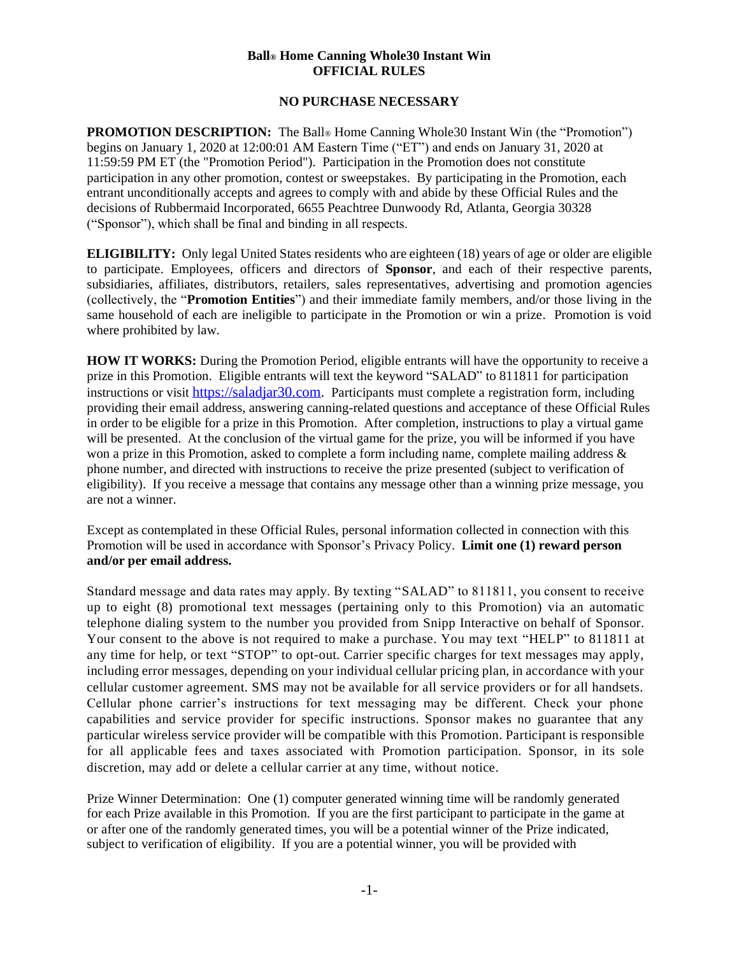## **Ball® Home Canning Whole30 Instant Win OFFICIAL RULES**

## **NO PURCHASE NECESSARY**

**PROMOTION DESCRIPTION:** The Ball® Home Canning Whole30 Instant Win (the "Promotion") begins on January 1, 2020 at 12:00:01 AM Eastern Time ("ET") and ends on January 31, 2020 at 11:59:59 PM ET (the "Promotion Period"). Participation in the Promotion does not constitute participation in any other promotion, contest or sweepstakes. By participating in the Promotion, each entrant unconditionally accepts and agrees to comply with and abide by these Official Rules and the decisions of Rubbermaid Incorporated, 6655 Peachtree Dunwoody Rd, Atlanta, Georgia 30328 ("Sponsor"), which shall be final and binding in all respects.

**ELIGIBILITY:** Only legal United States residents who are eighteen (18) years of age or older are eligible to participate. Employees, officers and directors of **Sponsor**, and each of their respective parents, subsidiaries, affiliates, distributors, retailers, sales representatives, advertising and promotion agencies (collectively, the "**Promotion Entities**") and their immediate family members, and/or those living in the same household of each are ineligible to participate in the Promotion or win a prize. Promotion is void where prohibited by law.

**HOW IT WORKS:** During the Promotion Period, eligible entrants will have the opportunity to receive a prize in this Promotion. Eligible entrants will text the keyword "SALAD" to 811811 for participation instructions or visit [https://saladjar30.com.](https://saladjar30.com/) Participants must complete a registration form, including providing their email address, answering canning-related questions and acceptance of these Official Rules in order to be eligible for a prize in this Promotion. After completion, instructions to play a virtual game will be presented. At the conclusion of the virtual game for the prize, you will be informed if you have won a prize in this Promotion, asked to complete a form including name, complete mailing address  $\&$ phone number, and directed with instructions to receive the prize presented (subject to verification of eligibility). If you receive a message that contains any message other than a winning prize message, you are not a winner.

Except as contemplated in these Official Rules, personal information collected in connection with this Promotion will be used in accordance with Sponsor's Privacy Policy. **Limit one (1) reward person and/or per email address.** 

Standard message and data rates may apply. By texting "SALAD" to 811811, you consent to receive up to eight (8) promotional text messages (pertaining only to this Promotion) via an automatic telephone dialing system to the number you provided from Snipp Interactive on behalf of Sponsor. Your consent to the above is not required to make a purchase. You may text "HELP" to 811811 at any time for help, or text "STOP" to opt-out. Carrier specific charges for text messages may apply, including error messages, depending on your individual cellular pricing plan, in accordance with your cellular customer agreement. SMS may not be available for all service providers or for all handsets. Cellular phone carrier's instructions for text messaging may be different. Check your phone capabilities and service provider for specific instructions. Sponsor makes no guarantee that any particular wireless service provider will be compatible with this Promotion. Participant is responsible for all applicable fees and taxes associated with Promotion participation. Sponsor, in its sole discretion, may add or delete a cellular carrier at any time, without notice.

Prize Winner Determination: One (1) computer generated winning time will be randomly generated for each Prize available in this Promotion. If you are the first participant to participate in the game at or after one of the randomly generated times, you will be a potential winner of the Prize indicated, subject to verification of eligibility. If you are a potential winner, you will be provided with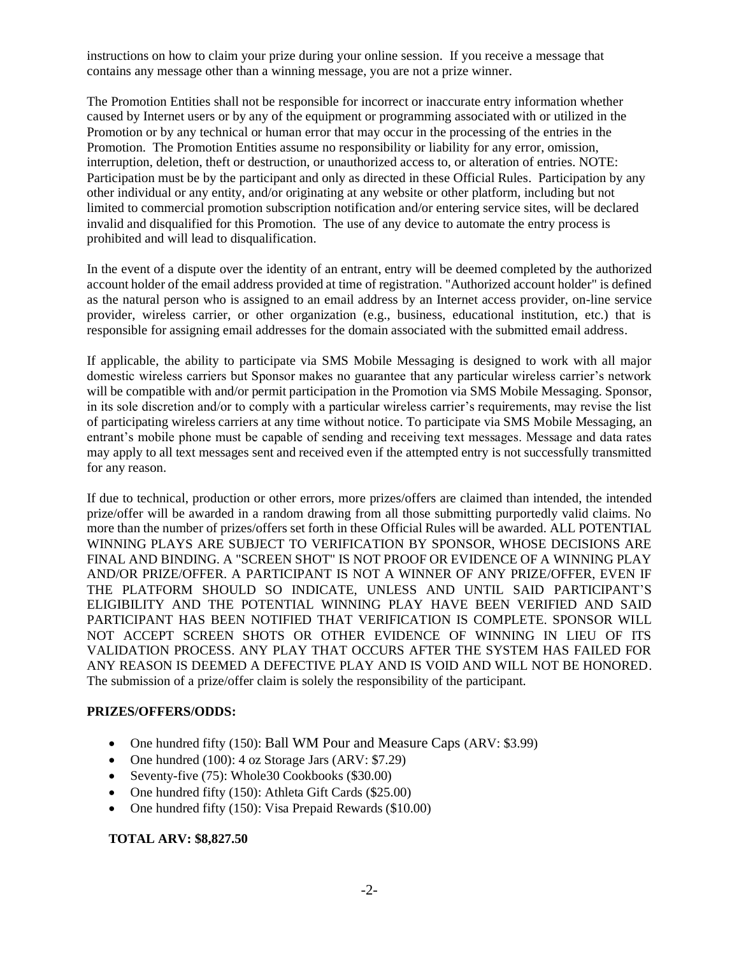instructions on how to claim your prize during your online session. If you receive a message that contains any message other than a winning message, you are not a prize winner.

The Promotion Entities shall not be responsible for incorrect or inaccurate entry information whether caused by Internet users or by any of the equipment or programming associated with or utilized in the Promotion or by any technical or human error that may occur in the processing of the entries in the Promotion. The Promotion Entities assume no responsibility or liability for any error, omission, interruption, deletion, theft or destruction, or unauthorized access to, or alteration of entries. NOTE: Participation must be by the participant and only as directed in these Official Rules. Participation by any other individual or any entity, and/or originating at any website or other platform, including but not limited to commercial promotion subscription notification and/or entering service sites, will be declared invalid and disqualified for this Promotion. The use of any device to automate the entry process is prohibited and will lead to disqualification.

In the event of a dispute over the identity of an entrant, entry will be deemed completed by the authorized account holder of the email address provided at time of registration. "Authorized account holder" is defined as the natural person who is assigned to an email address by an Internet access provider, on-line service provider, wireless carrier, or other organization (e.g., business, educational institution, etc.) that is responsible for assigning email addresses for the domain associated with the submitted email address.

If applicable, the ability to participate via SMS Mobile Messaging is designed to work with all major domestic wireless carriers but Sponsor makes no guarantee that any particular wireless carrier's network will be compatible with and/or permit participation in the Promotion via SMS Mobile Messaging. Sponsor, in its sole discretion and/or to comply with a particular wireless carrier's requirements, may revise the list of participating wireless carriers at any time without notice. To participate via SMS Mobile Messaging, an entrant's mobile phone must be capable of sending and receiving text messages. Message and data rates may apply to all text messages sent and received even if the attempted entry is not successfully transmitted for any reason.

If due to technical, production or other errors, more prizes/offers are claimed than intended, the intended prize/offer will be awarded in a random drawing from all those submitting purportedly valid claims. No more than the number of prizes/offers set forth in these Official Rules will be awarded. ALL POTENTIAL WINNING PLAYS ARE SUBJECT TO VERIFICATION BY SPONSOR, WHOSE DECISIONS ARE FINAL AND BINDING. A "SCREEN SHOT" IS NOT PROOF OR EVIDENCE OF A WINNING PLAY AND/OR PRIZE/OFFER. A PARTICIPANT IS NOT A WINNER OF ANY PRIZE/OFFER, EVEN IF THE PLATFORM SHOULD SO INDICATE, UNLESS AND UNTIL SAID PARTICIPANT'S ELIGIBILITY AND THE POTENTIAL WINNING PLAY HAVE BEEN VERIFIED AND SAID PARTICIPANT HAS BEEN NOTIFIED THAT VERIFICATION IS COMPLETE. SPONSOR WILL NOT ACCEPT SCREEN SHOTS OR OTHER EVIDENCE OF WINNING IN LIEU OF ITS VALIDATION PROCESS. ANY PLAY THAT OCCURS AFTER THE SYSTEM HAS FAILED FOR ANY REASON IS DEEMED A DEFECTIVE PLAY AND IS VOID AND WILL NOT BE HONORED. The submission of a prize/offer claim is solely the responsibility of the participant.

## **PRIZES/OFFERS/ODDS:**

- One hundred fifty (150): Ball WM Pour and Measure Caps (ARV: \$3.99)
- One hundred (100): 4 oz Storage Jars (ARV: \$7.29)
- Seventy-five (75): Whole30 Cookbooks (\$30.00)
- One hundred fifty (150): Athleta Gift Cards (\$25.00)
- One hundred fifty (150): Visa Prepaid Rewards (\$10.00)

## **TOTAL ARV: \$8,827.50**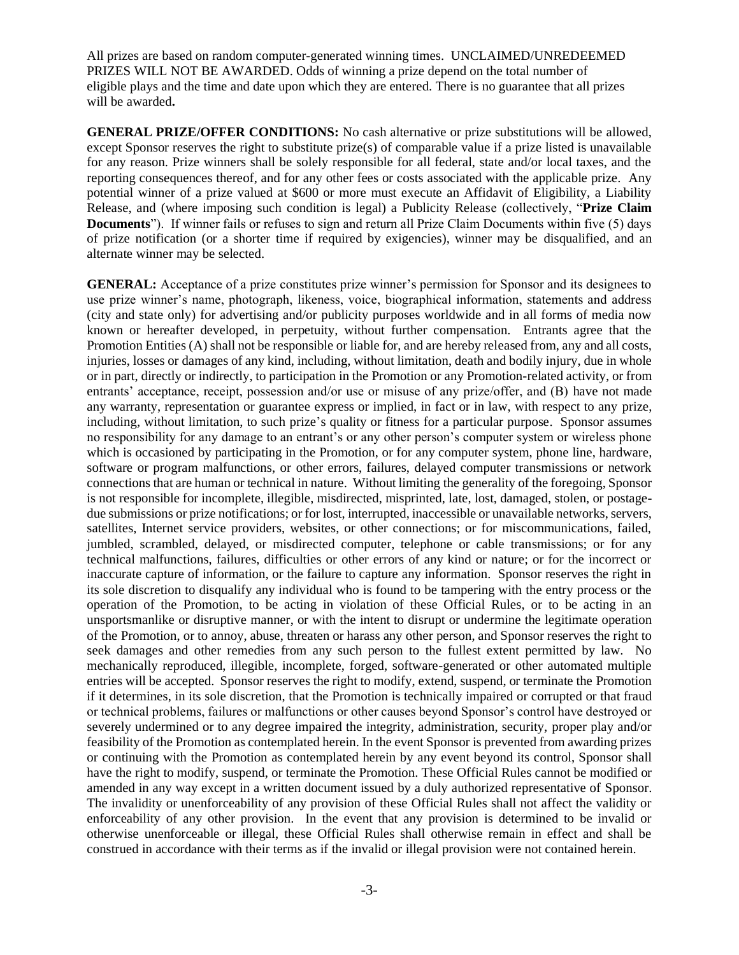All prizes are based on random computer-generated winning times. UNCLAIMED/UNREDEEMED PRIZES WILL NOT BE AWARDED. Odds of winning a prize depend on the total number of eligible plays and the time and date upon which they are entered. There is no guarantee that all prizes will be awarded**.** 

**GENERAL PRIZE/OFFER CONDITIONS:** No cash alternative or prize substitutions will be allowed, except Sponsor reserves the right to substitute prize(s) of comparable value if a prize listed is unavailable for any reason. Prize winners shall be solely responsible for all federal, state and/or local taxes, and the reporting consequences thereof, and for any other fees or costs associated with the applicable prize. Any potential winner of a prize valued at \$600 or more must execute an Affidavit of Eligibility, a Liability Release, and (where imposing such condition is legal) a Publicity Release (collectively, "**Prize Claim Documents**"). If winner fails or refuses to sign and return all Prize Claim Documents within five (5) days of prize notification (or a shorter time if required by exigencies), winner may be disqualified, and an alternate winner may be selected.

**GENERAL:** Acceptance of a prize constitutes prize winner's permission for Sponsor and its designees to use prize winner's name, photograph, likeness, voice, biographical information, statements and address (city and state only) for advertising and/or publicity purposes worldwide and in all forms of media now known or hereafter developed, in perpetuity, without further compensation. Entrants agree that the Promotion Entities (A) shall not be responsible or liable for, and are hereby released from, any and all costs, injuries, losses or damages of any kind, including, without limitation, death and bodily injury, due in whole or in part, directly or indirectly, to participation in the Promotion or any Promotion-related activity, or from entrants' acceptance, receipt, possession and/or use or misuse of any prize/offer, and (B) have not made any warranty, representation or guarantee express or implied, in fact or in law, with respect to any prize, including, without limitation, to such prize's quality or fitness for a particular purpose. Sponsor assumes no responsibility for any damage to an entrant's or any other person's computer system or wireless phone which is occasioned by participating in the Promotion, or for any computer system, phone line, hardware, software or program malfunctions, or other errors, failures, delayed computer transmissions or network connections that are human or technical in nature. Without limiting the generality of the foregoing, Sponsor is not responsible for incomplete, illegible, misdirected, misprinted, late, lost, damaged, stolen, or postagedue submissions or prize notifications; or for lost, interrupted, inaccessible or unavailable networks, servers, satellites, Internet service providers, websites, or other connections; or for miscommunications, failed, jumbled, scrambled, delayed, or misdirected computer, telephone or cable transmissions; or for any technical malfunctions, failures, difficulties or other errors of any kind or nature; or for the incorrect or inaccurate capture of information, or the failure to capture any information. Sponsor reserves the right in its sole discretion to disqualify any individual who is found to be tampering with the entry process or the operation of the Promotion, to be acting in violation of these Official Rules, or to be acting in an unsportsmanlike or disruptive manner, or with the intent to disrupt or undermine the legitimate operation of the Promotion, or to annoy, abuse, threaten or harass any other person, and Sponsor reserves the right to seek damages and other remedies from any such person to the fullest extent permitted by law. No mechanically reproduced, illegible, incomplete, forged, software-generated or other automated multiple entries will be accepted. Sponsor reserves the right to modify, extend, suspend, or terminate the Promotion if it determines, in its sole discretion, that the Promotion is technically impaired or corrupted or that fraud or technical problems, failures or malfunctions or other causes beyond Sponsor's control have destroyed or severely undermined or to any degree impaired the integrity, administration, security, proper play and/or feasibility of the Promotion as contemplated herein. In the event Sponsor is prevented from awarding prizes or continuing with the Promotion as contemplated herein by any event beyond its control, Sponsor shall have the right to modify, suspend, or terminate the Promotion. These Official Rules cannot be modified or amended in any way except in a written document issued by a duly authorized representative of Sponsor. The invalidity or unenforceability of any provision of these Official Rules shall not affect the validity or enforceability of any other provision. In the event that any provision is determined to be invalid or otherwise unenforceable or illegal, these Official Rules shall otherwise remain in effect and shall be construed in accordance with their terms as if the invalid or illegal provision were not contained herein.